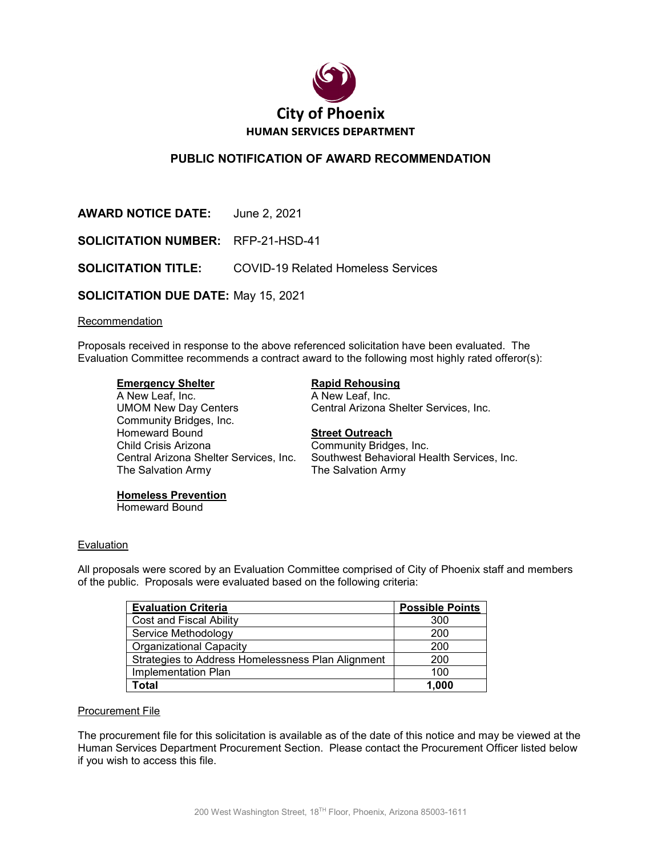

# **PUBLIC NOTIFICATION OF AWARD RECOMMENDATION**

| <b>AWARD NOTICE DATE:</b> June 2, 2021     |                                                               |
|--------------------------------------------|---------------------------------------------------------------|
| <b>SOLICITATION NUMBER: RFP-21-HSD-41</b>  |                                                               |
|                                            | <b>SOLICITATION TITLE:</b> COVID-19 Related Homeless Services |
| <b>SOLICITATION DUE DATE: May 15, 2021</b> |                                                               |

### **Recommendation**

Proposals received in response to the above referenced solicitation have been evaluated. The Evaluation Committee recommends a contract award to the following most highly rated offeror(s):

**Emergency Shelter**<br>
A New Leaf, Inc.<br>
A New Leaf, Inc. A New Leaf, Inc. UMOM New Day Centers Central Arizona Shelter Services, Inc. Community Bridges, Inc. Homeward Bound **Street Outreach** Child Crisis Arizona<br>Community Bridges, Inc.<br>Central Arizona Shelter Services, Inc. Southwest Behavioral He The Salvation Army The Salvation Army

Southwest Behavioral Health Services, Inc.

### **Homeless Prevention**

Homeward Bound

### Evaluation

All proposals were scored by an Evaluation Committee comprised of City of Phoenix staff and members of the public. Proposals were evaluated based on the following criteria:

| <b>Evaluation Criteria</b>                        | <b>Possible Points</b> |
|---------------------------------------------------|------------------------|
| <b>Cost and Fiscal Ability</b>                    | 300                    |
| Service Methodology                               | 200                    |
| <b>Organizational Capacity</b>                    | 200                    |
| Strategies to Address Homelessness Plan Alignment | 200                    |
| Implementation Plan                               | 100                    |
| <b>Total</b>                                      | 1,000                  |

### Procurement File

The procurement file for this solicitation is available as of the date of this notice and may be viewed at the Human Services Department Procurement Section. Please contact the Procurement Officer listed below if you wish to access this file.